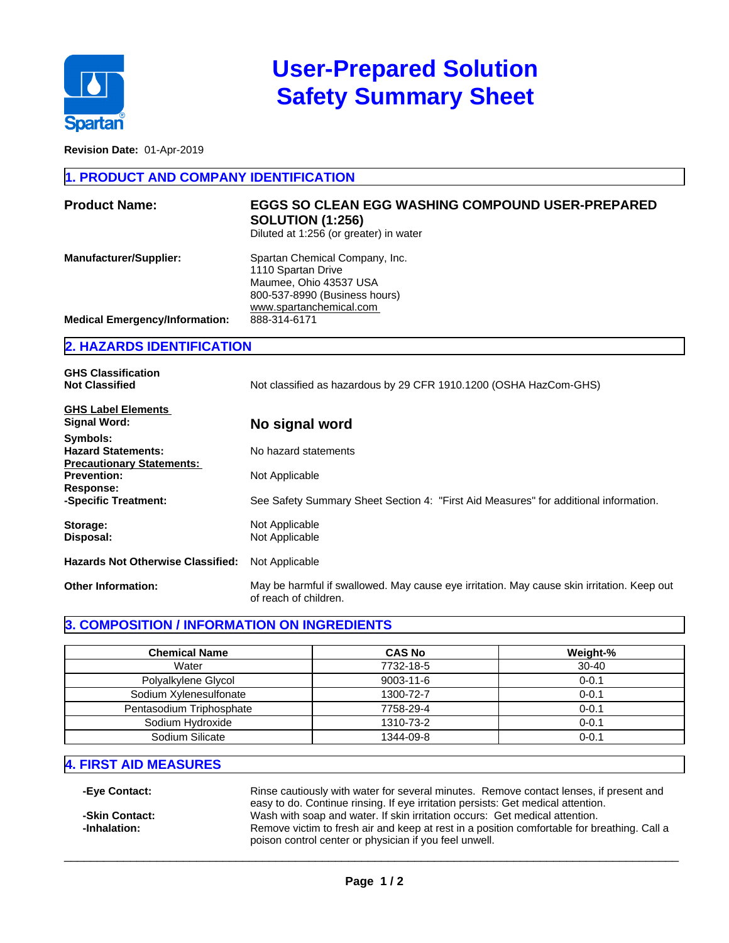

# **User-Prepared Solution Safety Summary Sheet**

**Revision Date:** 01-Apr-2019

#### **1. PRODUCT AND COMPANY IDENTIFICATION**

| <b>Product Name:</b>                  | <b>EGGS SO CLEAN EGG WASHING COMPOUND USER-PREPARED</b><br><b>SOLUTION (1:256)</b><br>Diluted at 1:256 (or greater) in water               |
|---------------------------------------|--------------------------------------------------------------------------------------------------------------------------------------------|
| <b>Manufacturer/Supplier:</b>         | Spartan Chemical Company, Inc.<br>1110 Spartan Drive<br>Maumee, Ohio 43537 USA<br>800-537-8990 (Business hours)<br>www.spartanchemical.com |
| <b>Medical Emergency/Information:</b> | 888-314-6171                                                                                                                               |
|                                       |                                                                                                                                            |

#### **2. HAZARDS IDENTIFICATION**

| <b>GHS Classification</b>                |                                                                                                                     |  |
|------------------------------------------|---------------------------------------------------------------------------------------------------------------------|--|
| <b>Not Classified</b>                    | Not classified as hazardous by 29 CFR 1910.1200 (OSHA HazCom-GHS)                                                   |  |
| <b>GHS Label Elements</b>                |                                                                                                                     |  |
| Signal Word:                             | No signal word                                                                                                      |  |
| Symbols:                                 |                                                                                                                     |  |
| <b>Hazard Statements:</b>                | No hazard statements                                                                                                |  |
| <b>Precautionary Statements:</b>         |                                                                                                                     |  |
| <b>Prevention:</b>                       | Not Applicable                                                                                                      |  |
| Response:                                |                                                                                                                     |  |
| -Specific Treatment:                     | See Safety Summary Sheet Section 4: "First Aid Measures" for additional information.                                |  |
| Storage:                                 | Not Applicable                                                                                                      |  |
| Disposal:                                | Not Applicable                                                                                                      |  |
| <b>Hazards Not Otherwise Classified:</b> | Not Applicable                                                                                                      |  |
| <b>Other Information:</b>                | May be harmful if swallowed. May cause eye irritation. May cause skin irritation. Keep out<br>of reach of children. |  |

#### **3. COMPOSITION / INFORMATION ON INGREDIENTS**

| <b>Chemical Name</b>     | <b>CAS No</b>   | Weight-%  |
|--------------------------|-----------------|-----------|
| Water                    | 7732-18-5       | $30 - 40$ |
| Polyalkylene Glycol      | $9003 - 11 - 6$ | $0 - 0.1$ |
| Sodium Xylenesulfonate   | 1300-72-7       | $0 - 0.1$ |
| Pentasodium Triphosphate | 7758-29-4       | $0 - 0.1$ |
| Sodium Hydroxide         | 1310-73-2       | $0 - 0.1$ |
| Sodium Silicate          | 1344-09-8       | $0 - 0.1$ |

# **4. FIRST AID MEASURES**

**-Eye Contact:** Rinse cautiously with water for several minutes. Remove contact lenses, if present and easy to do. Continue rinsing. If eye irritation persists: Get medical attention. **-Skin Contact:** Wash with soap and water. If skin irritation occurs: Get medical attention.<br> **-Inhalation:** The Remove victim to fresh air and keep at rest in a position comfortable for br Remove victim to fresh air and keep at rest in a position comfortable for breathing. Call a poison control center or physician if you feel unwell.

 $\_$  ,  $\_$  ,  $\_$  ,  $\_$  ,  $\_$  ,  $\_$  ,  $\_$  ,  $\_$  ,  $\_$  ,  $\_$  ,  $\_$  ,  $\_$  ,  $\_$  ,  $\_$  ,  $\_$  ,  $\_$  ,  $\_$  ,  $\_$  ,  $\_$  ,  $\_$  ,  $\_$  ,  $\_$  ,  $\_$  ,  $\_$  ,  $\_$  ,  $\_$  ,  $\_$  ,  $\_$  ,  $\_$  ,  $\_$  ,  $\_$  ,  $\_$  ,  $\_$  ,  $\_$  ,  $\_$  ,  $\_$  ,  $\_$  ,